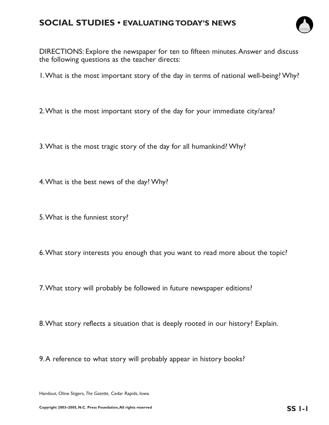# **SOCIAL STUDIES • EVALUATING TODAY'S NEWS**



DIRECTIONS: Explore the newspaper for ten to fifteen minutes.Answer and discuss the following questions as the teacher directs:

1.What is the most important story of the day in terms of national well-being? Why?

- 2.What is the most important story of the day for your immediate city/area?
- 3.What is the most tragic story of the day for all humankind? Why?
- 4.What is the best news of the day? Why?
- 5.What is the funniest story?
- 6.What story interests you enough that you want to read more about the topic?
- 7.What story will probably be followed in future newspaper editions?
- 8.What story reflects a situation that is deeply rooted in our history? Explain.
- 9.A reference to what story will probably appear in history books?

Handout, Oline Stigers, *The Gazette,* Cedar Rapids, Iowa.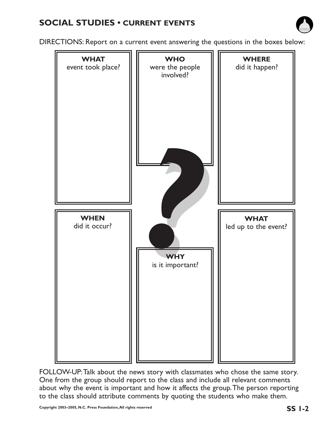

DIRECTIONS: Report on a current event answering the questions in the boxes below:



FOLLOW-UP:Talk about the news story with classmates who chose the same story. One from the group should report to the class and include all relevant comments about why the event is important and how it affects the group.The person reporting to the class should attribute comments by quoting the students who make them.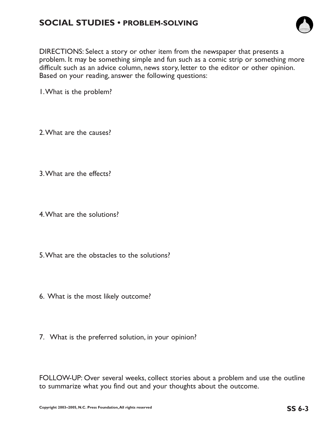

DIRECTIONS: Select a story or other item from the newspaper that presents a problem. It may be something simple and fun such as a comic strip or something more difficult such as an advice column, news story, letter to the editor or other opinion. Based on your reading, answer the following questions:

1.What is the problem?

2.What are the causes?

3.What are the effects?

4.What are the solutions?

5.What are the obstacles to the solutions?

- 6. What is the most likely outcome?
- 7. What is the preferred solution, in your opinion?

FOLLOW-UP: Over several weeks, collect stories about a problem and use the outline to summarize what you find out and your thoughts about the outcome.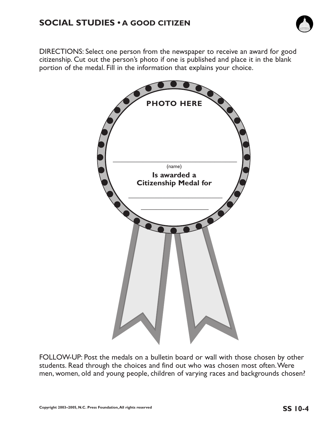

DIRECTIONS: Select one person from the newspaper to receive an award for good citizenship. Cut out the person's photo if one is published and place it in the blank portion of the medal. Fill in the information that explains your choice.



FOLLOW-UP: Post the medals on a bulletin board or wall with those chosen by other students. Read through the choices and find out who was chosen most often.Were men, women, old and young people, children of varying races and backgrounds chosen?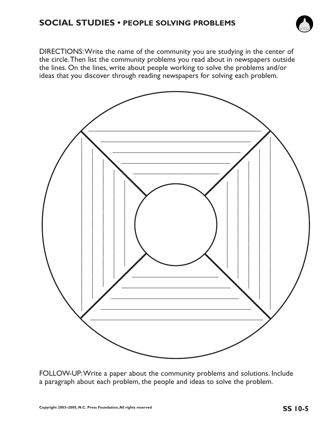# **SOCIAL STUDIES • PEOPLE SOLVING PROBLEMS**



DIRECTIONS:Write the name of the community you are studying in the center of the circle.Then list the community problems you read about in newspapers outside the lines. On the lines, write about people working to solve the problems and/or ideas that you discover through reading newspapers for solving each problem.



FOLLOW-UP:Write a paper about the community problems and solutions. Include a paragraph about each problem, the people and ideas to solve the problem.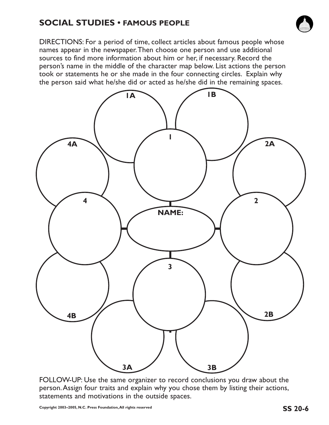# **SOCIAL STUDIES • FAMOUS PEOPLE**



DIRECTIONS: For a period of time, collect articles about famous people whose names appear in the newspaper.Then choose one person and use additional sources to find more information about him or her, if necessary. Record the person's name in the middle of the character map below. List actions the person took or statements he or she made in the four connecting circles. Explain why the person said what he/she did or acted as he/she did in the remaining spaces.



FOLLOW-UP: Use the same organizer to record conclusions you draw about the person.Assign four traits and explain why you chose them by listing their actions, statements and motivations in the outside spaces.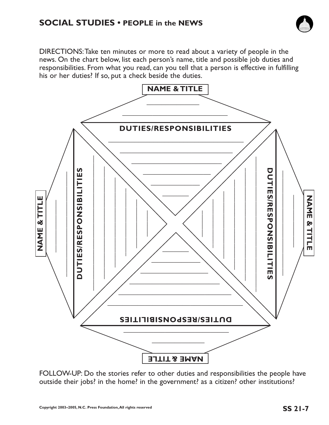

DIRECTIONS:Take ten minutes or more to read about a variety of people in the news. On the chart below, list each person's name, title and possible job duties and responsibilities. From what you read, can you tell that a person is effective in fulfilling his or her duties? If so, put a check beside the duties.



FOLLOW-UP: Do the stories refer to other duties and responsibilities the people have outside their jobs? in the home? in the government? as a citizen? other institutions?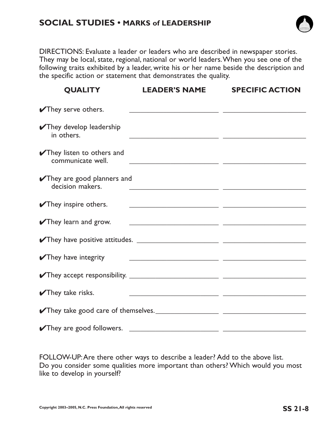## **SOCIAL STUDIES • MARKS of LEADERSHIP**



DIRECTIONS: Evaluate a leader or leaders who are described in newspaper stories. They may be local, state, regional, national or world leaders.When you see one of the following traits exhibited by a leader, write his or her name beside the description and the specific action or statement that demonstrates the quality.

| <b>QUALITY</b>                                    | <b>LEADER'S NAME</b>                                                                                                   | <b>SPECIFIC ACTION</b> |
|---------------------------------------------------|------------------------------------------------------------------------------------------------------------------------|------------------------|
| They serve others.                                | <u> 1989 - Johann Stoff, amerikansk politiker (d. 1989)</u>                                                            |                        |
| They develop leadership<br>in others.             | <u> 1989 - Andrea Branden, amerikansk politik (d. 1989)</u>                                                            |                        |
| They listen to others and<br>communicate well.    | <u> 2000 - Andrea Andrew Maria (h. 1888).</u>                                                                          |                        |
| They are good planners and<br>decision makers.    | <u> 1989 - Johann John Stone, mars et al. 1989 - Anna ann an t-Anna ann an t-Anna ann an t-Anna ann an t-Anna ann </u> |                        |
| $\sqrt{\ }$ They inspire others.                  | <u> 2000 - Jan James James James James James James James James James James James James James James James James J</u>   |                        |
| They learn and grow.                              | <u> 1989 - Jan Samuel Barbara, poeta estable</u>                                                                       |                        |
|                                                   |                                                                                                                        |                        |
| They have integrity                               | <u> 2000 - Andrea Andrew Maria (h. 1888).</u>                                                                          |                        |
| $\blacktriangleright$ They accept responsibility. |                                                                                                                        |                        |
| $\sqrt{\ }$ They take risks.                      | <u> 1999 - Jan James James Barbara, politik eta politikaria (h. 1908).</u>                                             |                        |
|                                                   |                                                                                                                        |                        |
| They are good followers.                          | <u> 1989 - Andrea Stadt, fransk politik (d. 1989)</u>                                                                  |                        |

FOLLOW-UP:Are there other ways to describe a leader? Add to the above list. Do you consider some qualities more important than others? Which would you most like to develop in yourself?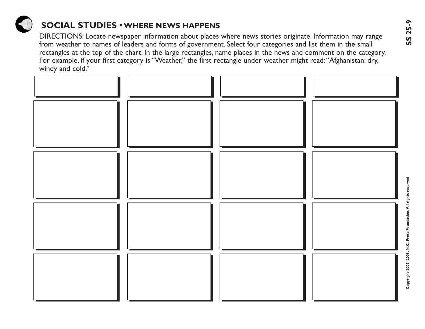

# **SOCIAL STUDIES •WHERE NEWS HAPPENS**

DIRECTIONS: Locate newspaper information about places where news stories originate. Information may range from weather to names of leaders and forms of government. Select four categories and list them in the small rectangles at the top of the chart. In the large rectangles, name places in the news and comment on the category. For example, if your first category is "Weather," the first rectangle under weather might read:"Afghanistan: dry, windy and cold."

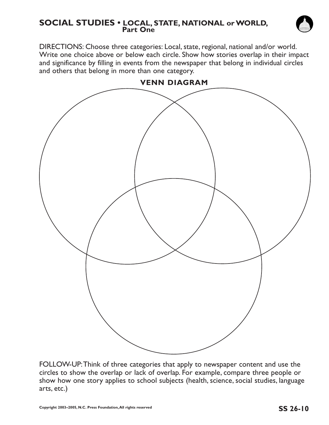#### **SOCIAL STUDIES • LOCAL, STATE, NATIONAL or WORLD, Part One**

DIRECTIONS: Choose three categories: Local, state, regional, national and/or world. Write one choice above or below each circle. Show how stories overlap in their impact and significance by filling in events from the newspaper that belong in individual circles and others that belong in more than one category.



FOLLOW-UP:Think of three categories that apply to newspaper content and use the circles to show the overlap or lack of overlap. For example, compare three people or show how one story applies to school subjects (health, science, social studies, language arts, etc.)

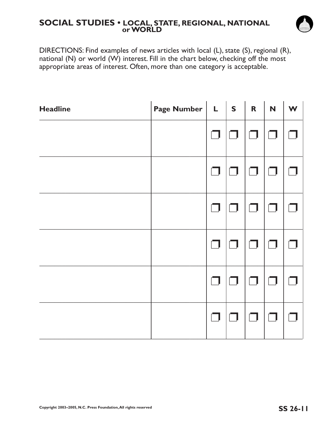#### **SOCIAL STUDIES • LOCAL, STATE, REGIONAL, NATIONAL or WORLD**



DIRECTIONS: Find examples of news articles with local (L), state (S), regional (R), national (N) or world (W) interest. Fill in the chart below, checking off the most appropriate areas of interest. Often, more than one category is acceptable.

| <b>Headline</b> | Page Number $\vert L \vert s \vert$ |     |        | $\overline{\mathbf{R}}$ | N | W |
|-----------------|-------------------------------------|-----|--------|-------------------------|---|---|
|                 |                                     |     |        | $\Box$                  |   |   |
|                 |                                     | - 1 | $\Box$ | $\Box$                  |   |   |
|                 |                                     |     | n l    | $\Box$                  |   |   |
|                 |                                     |     |        | $\Box$                  |   |   |
|                 |                                     |     | - 1    | $\vert \ \ \vert$       |   |   |
|                 |                                     |     |        | $\Box$                  |   |   |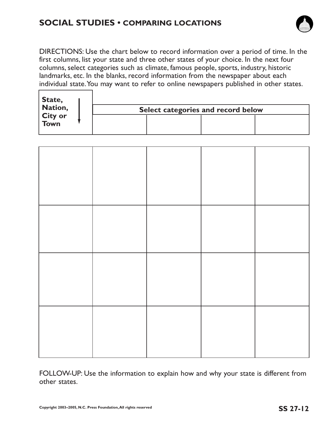# **SOCIAL STUDIES • COMPARING LOCATIONS**



DIRECTIONS: Use the chart below to record information over a period of time. In the first columns, list your state and three other states of your choice. In the next four columns, select categories such as climate, famous people, sports, industry, historic landmarks, etc. In the blanks, record information from the newspaper about each individual state.You may want to refer to online newspapers published in other states.

| State,<br>Nation, |                                    |
|-------------------|------------------------------------|
|                   | Select categories and record below |
| City or<br>Town   |                                    |

FOLLOW-UP: Use the information to explain how and why your state is different from other states.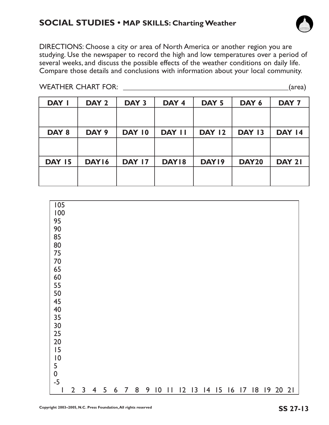# **SOCIAL STUDIES • MAP SKILLS: Charting Weather**

DIRECTIONS: Choose a city or area of North America or another region you are studying. Use the newspaper to record the high and low temperatures over a period of several weeks, and discuss the possible effects of the weather conditions on daily life. Compare those details and conclusions with information about your local community.

| DAY I         | DAY <sub>2</sub> | DAY 3         | DAY 4         | DAY <sub>5</sub> | DAY 6         | DAY <sub>7</sub> |
|---------------|------------------|---------------|---------------|------------------|---------------|------------------|
|               |                  |               |               |                  |               |                  |
|               |                  |               |               |                  |               |                  |
| DAY 8         | DAY 9            | DAY 10        | <b>DAY II</b> | <b>DAY 12</b>    | <b>DAY 13</b> | <b>DAY 14</b>    |
|               |                  |               |               |                  |               |                  |
|               |                  |               |               |                  |               |                  |
| <b>DAY 15</b> | DAY16            | <b>DAY 17</b> | DAY18         | DAY19            | <b>DAY20</b>  | <b>DAY 21</b>    |
|               |                  |               |               |                  |               |                  |
|               |                  |               |               |                  |               |                  |







WEATHER CHART FOR: \_\_\_\_\_\_\_\_\_\_\_\_\_\_\_\_\_\_\_\_\_\_\_\_\_\_\_\_\_\_\_\_\_\_\_\_\_\_\_\_\_\_\_\_(area)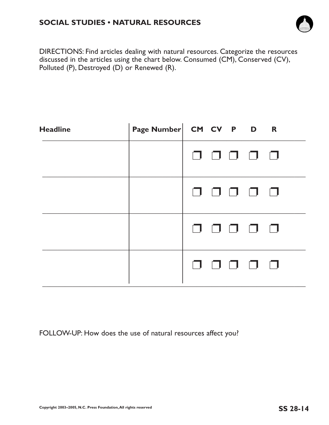

DIRECTIONS: Find articles dealing with natural resources. Categorize the resources discussed in the articles using the chart below. Consumed (CM), Conserved (CV), Polluted (P), Destroyed (D) or Renewed (R).

| <b>Headline</b> | Page Number CM CV P D R |  |                                                                                  |  |
|-----------------|-------------------------|--|----------------------------------------------------------------------------------|--|
|                 |                         |  | $\begin{array}{ccc} \square & \square & \square & \square & \square \end{array}$ |  |
|                 |                         |  | $\begin{array}{ccc} \square & \square & \square & \square & \square \end{array}$ |  |
|                 |                         |  | 00000                                                                            |  |
|                 |                         |  |                                                                                  |  |

FOLLOW-UP: How does the use of natural resources affect you?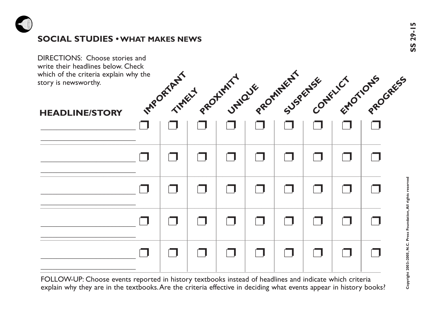

# **SOCIAL STUDIES • WHAT MAKES NEWS**<br>
SOCIAL STUDIES • WHAT MAKES NEWS<br>
S



FOLLOW-UP: Choose events reported in history textbooks instead of headlines and indicate which criteria explain why they are in the textbooks.Are the criteria effective in deciding what events appear in history books?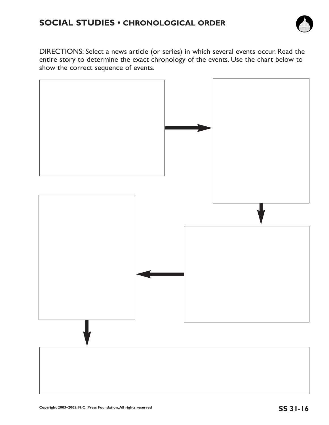# **SOCIAL STUDIES • CHRONOLOGICAL ORDER**



DIRECTIONS: Select a news article (or series) in which several events occur. Read the entire story to determine the exact chronology of the events. Use the chart below to show the correct sequence of events.